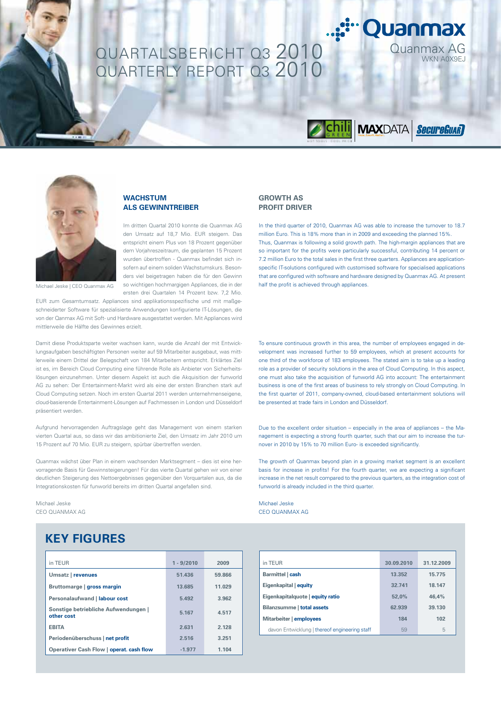# QUARTALSBERICHT Q3 2010 Quanmax AG QUARTERLY REPORT Q3 2010



Im dritten Quartal 2010 konnte die Quanmax AG den Umsatz auf 18,7 Mio. EUR steigern. Das entspricht einem Plus von 18 Prozent gegenüber dem Vorjahreszeitraum, die geplanten 15 Prozent wurden übertroffen - Quanmax befindet sich insofern auf einem soliden Wachstumskurs. Besonders viel beigetragen haben die für den Gewinn so wichtigen hochmargigen Appliances, die in der ersten drei Quartalen 14 Prozent bzw. 7,2 Mio.

EUR zum Gesamtumsatz. Appliances sind applikationsspezifische und mit maßgeschneiderter Software für spezialisierte Anwendungen konfigurierte IT-Lösungen, die von der Qanmax AG mit Soft- und Hardware ausgestattet werden. Mit Appliances wird mittlerweile die Hälfte des Gewinnes erzielt.

Damit diese Produktsparte weiter wachsen kann, wurde die Anzahl der mit Entwicklungsaufgaben beschäftigten Personen weiter auf 59 Mitarbeiter ausgebaut, was mittlerweile einem Drittel der Belegschaft von 184 Mitarbeitern entspricht. Erklärtes Ziel ist es, im Bereich Cloud Computing eine führende Rolle als Anbieter von Sicherheitslösungen einzunehmen. Unter diesem Aspekt ist auch die Akquisition der funworld AG zu sehen: Der Entertainment-Markt wird als eine der ersten Branchen stark auf Cloud Computing setzen. Noch im ersten Quartal 2011 werden unternehmenseigene, cloud-basierende Entertainment-Lösungen auf Fachmessen in London und Düsseldorf präsentiert werden.

Aufgrund hervorragenden Auftragslage geht das Management von einem starken vierten Quartal aus, so dass wir das ambitionierte Ziel, den Umsatz im Jahr 2010 um 15 Prozent auf 70 Mio. EUR zu steigern, spürbar übertreffen werden.

Quanmax wächst über Plan in einem wachsenden Marktsegment – dies ist eine hervorragende Basis für Gewinnsteigerungen! Für das vierte Quartal gehen wir von einer deutlichen Steigerung des Nettoergebnisses gegenüber den Vorquartalen aus, da die Integrationskosten für funworld bereits im dritten Quartal angefallen sind.

Michael Jeske CEO QUANMAX AG

# **KEY FIGURES**

| in TEUR                                            | $1 - 9/2010$ | 2009   |
|----------------------------------------------------|--------------|--------|
| Umsatz   revenues                                  | 51.436       | 59.866 |
| Bruttomarge   gross margin                         | 13.685       | 11.029 |
| Personalaufwand   labour cost                      | 5.492        | 3.962  |
| Sonstige betriebliche Aufwendungen  <br>other cost | 5.167        | 4.517  |
| <b>EBITA</b>                                       | 2.631        | 2.128  |
| Periodenüberschuss   net profit                    | 2.516        | 3.251  |
| Operativer Cash Flow   operat. cash flow           | $-1.977$     | 1.104  |

## **GROWTH AS PROFIT DRIVER**

In the third quarter of 2010, Quanmax AG was able to increase the turnover to 18.7 million Euro. This is 18% more than in in 2009 and exceeding the planned 15%. Thus, Quanmax is following a solid growth path. The high-margin appliances that are so important for the profits were particularly successful, contributing 14 percent or 7.2 million Euro to the total sales in the first three quarters. Appliances are applicationspecific IT-solutions configured with customised software for specialised applications that are configured with software and hardware designed by Quanmax AG. At present half the profit is achieved through appliances.

Quanmax

*BELLE MAXDATA SecureCuar* 

To ensure continuous growth in this area, the number of employees engaged in development was increased further to 59 employees, which at present accounts for one third of the workforce of 183 employees. The stated aim is to take up a leading role as a provider of security solutions in the area of Cloud Computing. In this aspect, one must also take the acquisition of funworld AG into account: The entertainment business is one of the first areas of business to rely strongly on Cloud Computing. In the first quarter of 2011, company-owned, cloud-based entertainment solutions will be presented at trade fairs in London and Düsseldorf.

Due to the excellent order situation – especially in the area of appliances – the Management is expecting a strong fourth quarter, such that our aim to increase the turnover in 2010 by 15% to 70 million Euro- is exceeded significantly.

The growth of Quanmax beyond plan in a growing market segment is an excellent basis for increase in profits! For the fourth quarter, we are expecting a significant increase in the net result compared to the previous quarters, as the integration cost of funworld is already included in the third quarter.

Michael Jeske CEO QUANMAX AG

| in TEUR                                       | 30.09.2010 | 31.12.2009 |
|-----------------------------------------------|------------|------------|
| Barmittel   cash                              | 13.352     | 15.775     |
| Eigenkapital   equity                         | 32.741     | 18.147     |
| Eigenkapitalquote   equity ratio              | 52.0%      | 46.4%      |
| Bilanzsumme   total assets                    | 62.939     | 39.130     |
| Mitarbeiter   employees                       | 184        | 102        |
| davon Entwicklung   thereof engineering staff | 59         | 5          |



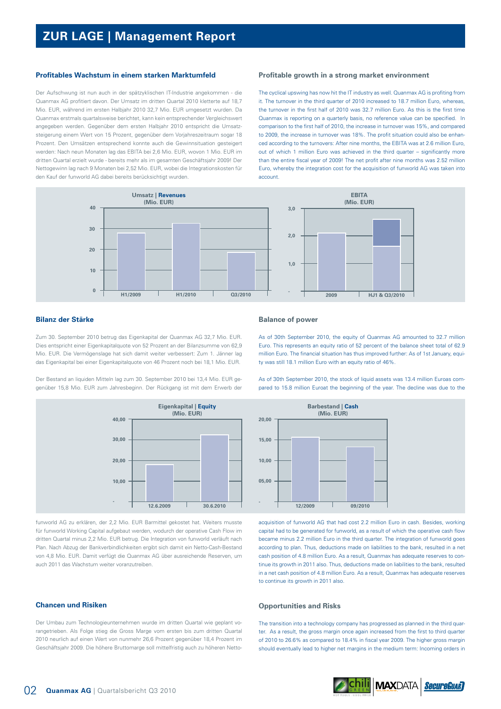#### **Profitables Wachstum in einem starken Marktumfeld**

Der Aufschwung ist nun auch in der spätzyklischen IT-Industrie angekommen - die Quanmax AG profitiert davon. Der Umsatz im dritten Quartal 2010 kletterte auf 18,7 Mio. EUR, während im ersten Halbjahr 2010 32,7 Mio. EUR umgesetzt wurden. Da Quanmax erstmals quartalsweise berichtet, kann kein entsprechender Vergleichswert angegeben werden. Gegenüber dem ersten Halbjahr 2010 entspricht die Umsatzsteigerung einem Wert von 15 Prozent, gegenüber dem Vorjahreszeitraum sogar 18 Prozent. Den Umsätzen entsprechend konnte auch die Gewinnsituation gesteigert werden: Nach neun Monaten lag das EBITA bei 2,6 Mio. EUR, wovon 1 Mio. EUR im dritten Quartal erzielt wurde - bereits mehr als im gesamten Geschäftsjahr 2009! Der Nettogewinn lag nach 9 Monaten bei 2,52 Mio. EUR, wobei die Integrationskosten für den Kauf der funworld AG dabei bereits berücksichtigt wurden.

#### **Profitable growth in a strong market environment**

The cyclical upswing has now hit the IT industry as well. Quanmax AG is profiting from it. The turnover in the third quarter of 2010 increased to 18.7 million Euro, whereas, the turnover in the first half of 2010 was 32.7 million Euro. As this is the first time Quanmax is reporting on a quarterly basis, no reference value can be specified. In comparison to the first half of 2010, the increase in turnover was 15%, and compared to 2009, the increase in turnover was 18%. The profit situation could also be enhanced according to the turnovers: After nine months, the EBITA was at 2.6 million Euro, out of which 1 million Euro was achieved in the third quarter – significantly more than the entire fiscal year of 2009! The net profit after nine months was 2.52 million Euro, whereby the integration cost for the acquisition of funworld AG was taken into account.



## **Bilanz der Stärke**

Zum 30. September 2010 betrug das Eigenkapital der Quanmax AG 32,7 Mio. EUR. Dies entspricht einer Eigenkapitalquote von 52 Prozent an der Bilanzsumme von 62,9 Mio. EUR. Die Vermögenslage hat sich damit weiter verbessert: Zum 1. Jänner lag das Eigenkapital bei einer Eigenkapitalquote von 46 Prozent noch bei 18,1 Mio. EUR.

Der Bestand an liquiden Mitteln lag zum 30. September 2010 bei 13,4 Mio. EUR gegenüber 15,8 Mio. EUR zum Jahresbeginn. Der Rückgang ist mit dem Erwerb der



funworld AG zu erklären, der 2,2 Mio. EUR Barmittel gekostet hat. Weiters musste für funworld Working Capital aufgebaut werden, wodurch der operative Cash Flow im dritten Quartal minus 2,2 Mio. EUR betrug. Die Integration von funworld verläuft nach Plan. Nach Abzug der Bankverbindlichkeiten ergibt sich damit ein Netto-Cash-Bestand von 4,8 Mio. EUR. Damit verfügt die Quanmax AG über ausreichende Reserven, um auch 2011 das Wachstum weiter voranzutreiben.

## **Chancen und Risiken**

Der Umbau zum Technologieunternehmen wurde im dritten Quartal wie geplant vorangetrieben. Als Folge stieg die Gross Marge vom ersten bis zum dritten Quartal 2010 neurlich auf einen Wert von nunmehr 26,6 Prozent gegenüber 18,4 Prozent im Geschäftsjahr 2009. Die höhere Bruttomarge soll mittelfristig auch zu höheren Netto-

#### **Balance of power**

As of 30th September 2010, the equity of Quanmax AG amounted to 32.7 million Euro. This represents an equity ratio of 52 percent of the balance sheet total of 62.9 million Euro. The financial situation has thus improved further: As of 1st January, equity was still 18.1 million Euro with an equity ratio of 46%.

pared to 15.8 million Euroat the beginning of the year. The decline was due to the **Barbestand | Cash (Mio. EUR)**

As of 30th September 2010, the stock of liquid assets was 13.4 million Euroas com-



acquisition of funworld AG that had cost 2.2 million Euro in cash. Besides, working capital had to be generated for funworld, as a result of which the operative cash flow became minus 2.2 million Euro in the third quarter. The integration of funworld goes according to plan. Thus, deductions made on liabilities to the bank, resulted in a net cash position of 4.8 million Euro. As a result, Quanmax has adequate reserves to continue its growth in 2011 also. Thus, deductions made on liabilities to the bank, resulted in a net cash position of 4.8 million Euro. As a result, Quanmax has adequate reserves to continue its growth in 2011 also.

#### **Opportunities and Risks**

The transition into a technology company has progressed as planned in the third quarter. As a result, the gross margin once again increased from the first to third quarter of 2010 to 26.6% as compared to 18.4% in fiscal year 2009. The higher gross margin should eventually lead to higher net margins in the medium term: Incoming orders in

**MAX**DATA **SecureGuar**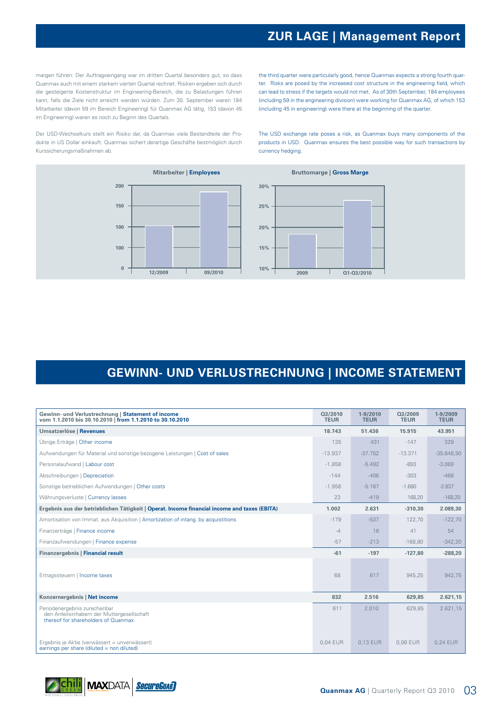# **ZUR LAGE | Management Report**

margen führen: Der Auftragseingang war im dritten Quartal besonders gut, so dass Quanmax auch mit einem starkem vierten Quartal rechnet. Risiken ergeben sich durch die gesteigerte Kostenstruktur im Engineering-Bereich, die zu Belastungen führen kann, falls die Ziele nicht erreicht werden würden. Zum 30. September waren 184 Mitarbeiter (davon 59 im Bereich Engineering) für Quanmax AG tätig, 153 (davon 45 im Engineering) waren es noch zu Beginn des Quartals.

Der USD-Wechselkurs stellt ein Risiko dar, da Quanmax viele Bestandteile der Produkte in US Dollar einkauft. Quanmax sichert derartige Geschäfte bestmöglich durch Kurssicherungsmaßnahmen ab.



the third quarter were particularly good, hence Quanmax expects a strong fourth quarter. Risks are posed by the increased cost structure in the engineering field, which can lead to stress if the targets would not met. As of 30th September, 184 employees (including 59 in the engineering division) were working for Quanmax AG, of which 153 (including 45 in engineering) were there at the beginning of the quarter.

The USD exchange rate poses a risk, as Quanmax buys many components of the products in USD. Quanmax ensures the best possible way for such transactions by currency hedging.



# **GEWINN- UND VERLUSTRECHNUNG | INCOME STATEMENT**

| Gewinn- und Verlustrechnung   Statement of income<br>vom 1.1.2010 bis 30.10.2010   from 1.1.2010 to 30.10.2010    | Q3/2010<br><b>TEUR</b> | $1 - 9/2010$<br><b>TEUR</b> | Q3/2009<br><b>TEUR</b> | 1-9/2009<br><b>TEUR</b> |
|-------------------------------------------------------------------------------------------------------------------|------------------------|-----------------------------|------------------------|-------------------------|
| Umsatzerlöse   Revenues                                                                                           | 18.743                 | 51.436                      | 15.915                 | 43.951                  |
| Übrige Erträge   Other income                                                                                     | 135                    | 431                         | $-147$                 | 329                     |
| Aufwendungen für Material und sonstige bezogene Leistungen   Cost of sales                                        | $-13.937$              | $-37.752$                   | $-13.371$              | $-35.648,50$            |
| Personalaufwand   Labour cost                                                                                     | $-1.858$               | $-5.492$                    | $-893$                 | $-3.069$                |
| Abschreibungen   Depreciation                                                                                     | $-144$                 | $-406$                      | $-303$                 | $-468$                  |
| Sonstige betrieblichen Aufwendungen   Other costs                                                                 | $-1.958$               | $-5.167$                    | $-1.680$               | $-2.837$                |
| Währungsverluste   Currency lasses                                                                                | 23                     | $-419$                      | 168,20                 | $-168,20$               |
| Ergebnis aus der betrieblichen Tätigkeit   Operat. Income financial income and taxes (EBITA)                      | 1.002                  | 2.631                       | $-310,30$              | 2.089,30                |
| Amortisation von Immat. aus Akquisition   Amortization of intang. by acquistitions                                | $-179$                 | $-537$                      | 122,70                 | $-122,70$               |
| Finanzerträge   Finance income                                                                                    | $-4$                   | 16                          | 41                     | 54                      |
| Finanzaufwendungen   Finance expense                                                                              | $-57$                  | $-213$                      | $-168,80$              | $-342,20$               |
| Finanzergebnis   Financial result                                                                                 | $-61$                  | $-197$                      | $-127,80$              | $-288,20$               |
| Ertragssteuern   Income taxes                                                                                     | 68                     | 617                         | 945,25                 | 942,75                  |
| Konzernergebnis   Net income                                                                                      | 832                    | 2.516                       | 629,85                 | 2.621,15                |
| Periodenergebnis zurechenbar<br>den Anteilsinhabern der Muttergesellschaft<br>thereof for shareholders of Quanmax | 611                    | 2.010                       | 629,85                 | 2.621,15                |
| Ergebnis je Aktie (verwässert = unverwässert)<br>earnings per share (diluted = non diluted)                       | 0.04 EUR               | 0.13 EUR                    | 0.06 EUR               | 0,24 EUR                |

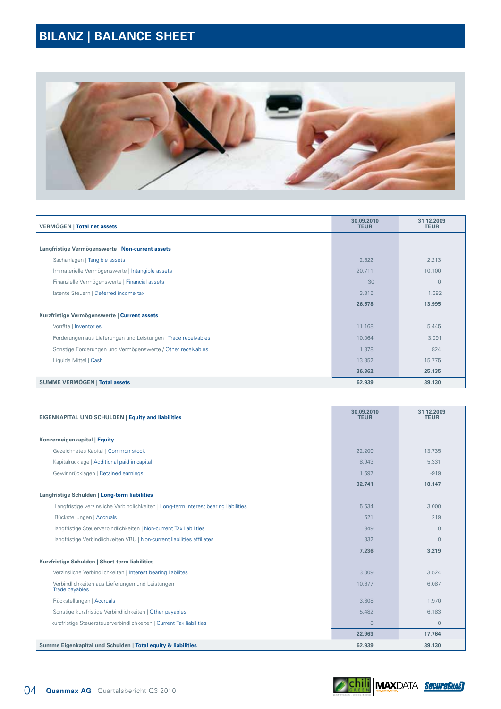# **BILANZ | BALANCE SHEET**



| <b>VERMÖGEN   Total net assets</b>                             | 30.09.2010<br><b>TEUR</b> | 31.12.2009<br><b>TEUR</b> |
|----------------------------------------------------------------|---------------------------|---------------------------|
|                                                                |                           |                           |
| Langfristige Vermögenswerte   Non-current assets               |                           |                           |
| Sachanlagen   Tangible assets                                  | 2.522                     | 2.213                     |
| Immaterielle Vermögenswerte   Intangible assets                | 20.711                    | 10.100                    |
| Finanzielle Vermögenswerte   Financial assets                  | 30                        | $\overline{0}$            |
| latente Steuern   Deferred income tax                          | 3.315                     | 1.682                     |
|                                                                | 26.578                    | 13.995                    |
| Kurzfristige Vermögenswerte   Current assets                   |                           |                           |
| Vorräte   Inventories                                          | 11.168                    | 5.445                     |
| Forderungen aus Lieferungen und Leistungen   Trade receivables | 10.064                    | 3.091                     |
| Sonstige Forderungen und Vermögenswerte / Other receivables    | 1.378                     | 824                       |
| Liquide Mittel   Cash                                          | 13.352                    | 15.775                    |
|                                                                | 36.362                    | 25.135                    |
| SUMME VERMÖGEN   Total assets                                  | 62.939                    | 39.130                    |

| <b>EIGENKAPITAL UND SCHULDEN   Equity and liabilities</b>                            | 30.09.2010<br><b>TEUR</b> | 31.12.2009<br><b>TEUR</b> |
|--------------------------------------------------------------------------------------|---------------------------|---------------------------|
|                                                                                      |                           |                           |
| Konzerneigenkapital   Equity                                                         |                           |                           |
| Gezeichnetes Kapital   Common stock                                                  | 22,200                    | 13.735                    |
| Kapitalrücklage   Additional paid in capital                                         | 8.943                     | 5.331                     |
| Gewinnrücklagen   Retained earnings                                                  | 1.597                     | $-919$                    |
|                                                                                      | 32.741                    | 18.147                    |
| Langfristige Schulden   Long-term liabilities                                        |                           |                           |
| Langfristige verzinsliche Verbindlichkeiten   Long-term interest bearing liabilities | 5.534                     | 3.000                     |
| Rückstellungen   Accruals                                                            | 521                       | 219                       |
| langfristige Steuerverbindlichkeiten   Non-current Tax liabilities                   | 849                       | $\circ$                   |
| langfristige Verbindlichkeiten VBU   Non-current liabilities affiliates              | 332                       | $\Omega$                  |
|                                                                                      | 7.236                     | 3.219                     |
| Kurzfristige Schulden   Short-term liabilities                                       |                           |                           |
| Verzinsliche Verbindlichkeiten   Interest bearing liabilites                         | 3.009                     | 3.524                     |
| Verbindlichkeiten aus Lieferungen und Leistungen<br>Trade payables                   | 10.677                    | 6.087                     |
| Rückstellungen   Accruals                                                            | 3.808                     | 1.970                     |
| Sonstige kurzfristige Verbindlichkeiten   Other payables                             | 5.482                     | 6.183                     |
| kurzfristige Steuersteuerverbindlichkeiten   Current Tax liabilities                 | 8                         | $\circ$                   |
|                                                                                      | 22.963                    | 17.764                    |
| Summe Eigenkapital und Schulden   Total equity & liabilities                         | 62.939                    | 39.130                    |

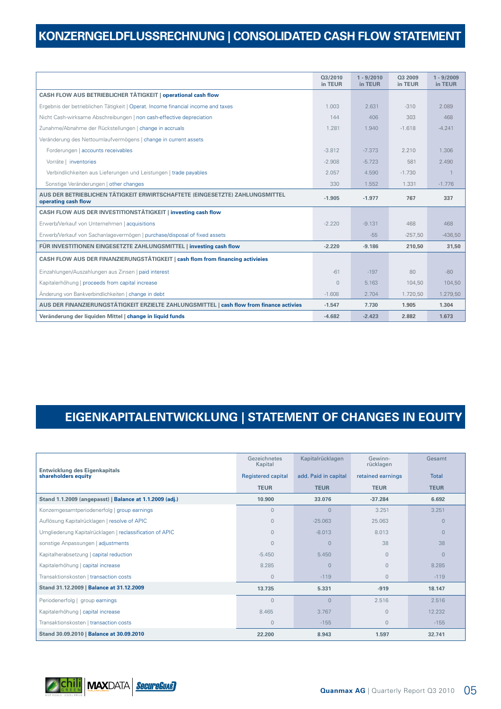# **KONZERNGELDFLUSSRECHNUNG | CONSOLIDATED CASH FLOW STATEMENT**

|                                                                                                     | Q3/2010<br>in TEUR | $1 - 9/2010$<br>in TEUR | Q3 2009<br>in TEUR | $1 - 9/2009$<br>in TEUR |
|-----------------------------------------------------------------------------------------------------|--------------------|-------------------------|--------------------|-------------------------|
| CASH FLOW AUS BETRIEBLICHER TÄTIGKEIT   operational cash flow                                       |                    |                         |                    |                         |
| Ergebnis der betrieblichen Tätigkeit   Operat. Income financial income and taxes                    | 1.003              | 2.631                   | $-310$             | 2.089                   |
| Nicht Cash-wirksame Abschreibungen   non cash-effective depreciation                                | 144                | 406                     | 303                | 468                     |
| Zunahme/Abnahme der Rückstellungen   change in accruals                                             | 1.281              | 1.940                   | $-1.618$           | $-4.241$                |
| Veränderung des Nettoumlaufvermögens   change in current assets                                     |                    |                         |                    |                         |
| Forderungen   accounts receivables                                                                  | $-3.812$           | $-7.373$                | 2.210              | 1.306                   |
| Vorräte   inventories                                                                               | $-2.908$           | $-5.723$                | 581                | 2.490                   |
| Verbindlichkeiten aus Lieferungen und Leistungen   trade payables                                   | 2.057              | 4.590                   | $-1.730$           |                         |
| Sonstige Veränderungen   other changes                                                              | 330                | 1.552                   | 1.331              | $-1.776$                |
| AUS DER BETRIEBLICHEN TÄTIGKEIT ERWIRTSCHAFTETE (EINGESETZTE) ZAHLUNGSMITTEL<br>operating cash flow | $-1.905$           | $-1.977$                | 767                | 337                     |
| CASH FLOW AUS DER INVESTITIONSTÄTIGKEIT   investing cash flow                                       |                    |                         |                    |                         |
| Erwerb/Verkauf von Unternehmen   acquisitions                                                       | $-2.220$           | $-9.131$                | 468                | 468                     |
| Erwerb/Verkauf von Sachanlagevermögen   purchase/disposal of fixed assets                           |                    | $-55$                   | $-257,50$          | $-436,50$               |
| FÜR INVESTITIONEN EINGESETZTE ZAHLUNGSMITTEL   investing cash flow                                  | $-2.220$           | $-9.186$                | 210,50             | 31,50                   |
| CASH FLOW AUS DER FINANZIERUNGSTÄTIGKEIT   cash flom from financing activieies                      |                    |                         |                    |                         |
| Einzahlungen/Auszahlungen aus Zinsen   paid interest                                                | $-61$              | $-197$                  | 80                 | $-80$                   |
| Kapitalerhöhung   proceeds from capital increase                                                    | $\circ$            | 5.163                   | 104,50             | 104,50                  |
| Änderung von Bankverbindlichkeiten   change in debt                                                 | $-1.608$           | 2.704                   | 1.720.50           | 1.279,50                |
| AUS DER FINANZIERUNGSTÄTIGKEIT ERZIELTE ZAHLUNGSMITTEL   cash flow from finance activies            | $-1.547$           | 7.730                   | 1.905              | 1.304                   |
| Veränderung der liquiden Mittel   change in liquid funds                                            | $-4.682$           | $-2.423$                | 2.882              | 1.673                   |

# **EIGENKAPITALENTWICKLUNG | STATEMENT OF CHANGES IN EQUITY**

|                                                             | Gezeichnetes<br>Kapital   | Kapitalrücklagen     | Gewinn-<br>rücklagen | Gesamt         |
|-------------------------------------------------------------|---------------------------|----------------------|----------------------|----------------|
| <b>Entwicklung des Eigenkapitals</b><br>shareholders equity | <b>Registered capital</b> | add. Paid in capital | retained earnings    | <b>Total</b>   |
|                                                             | <b>TEUR</b>               | <b>TEUR</b>          | <b>TEUR</b>          | <b>TEUR</b>    |
| Stand 1.1.2009 (angepasst)   Balance at 1.1.2009 (adj.)     | 10.900                    | 33.076               | $-37.284$            | 6.692          |
| Konzerngesamtperiodenerfolg   group earnings                | $\Omega$                  | $\Omega$             | 3.251                | 3.251          |
| Auflösung Kapitalrücklagen   resolve of APIC                | $\Omega$                  | $-25.063$            | 25.063               | $\overline{0}$ |
| Umgliederung Kapitalrücklagen   reclassification of APIC    | $\overline{0}$            | $-8.013$             | 8.013                | $\Omega$       |
| sonstige Anpassungen   adjustments                          | $\Omega$                  | $\Omega$             | 38                   | 38             |
| Kapitalherabsetzung   capital reduction                     | $-5.450$                  | 5.450                | $\Omega$             | $\Omega$       |
| Kapitalerhöhung   capital increase                          | 8.285                     | $\overline{0}$       | $\mathbf{0}$         | 8.285          |
| Transaktionskosten   transaction costs                      | $\Omega$                  | $-119$               | $\Omega$             | $-119$         |
| Stand 31.12.2009   Balance at 31.12.2009                    | 13.735                    | 5.331                | $-919$               | 18.147         |
| Periodenerfolg   group earnings                             | $\Omega$                  | $\Omega$             | 2.516                | 2.516          |
| Kapitalerhöhung   capital increase                          | 8.465                     | 3.767                | $\Omega$             | 12.232         |
| Transaktionskosten   transaction costs                      | $\overline{0}$            | $-155$               | $\mathbf{0}$         | $-155$         |
| Stand 30.09.2010   Balance at 30.09.2010                    | 22.200                    | 8.943                | 1.597                | 32.741         |

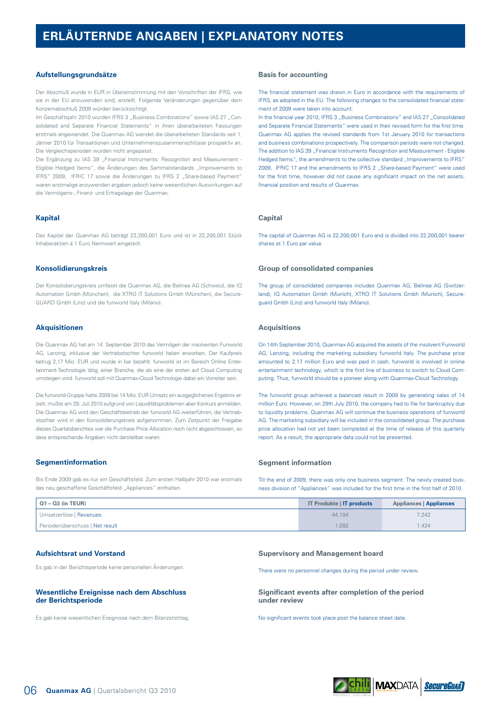## **Aufstellungsgrundsätze**

Der Abschluß wurde in EUR in Übereinstimmung mit den Vorschriften der IFRS, wie sie in der EU anzuwenden sind, erstellt. Folgende Veränderungen gegenüber dem Konzernabschluß 2009 würden berücksichtigt.

Im Geschäftsjahr 2010 wurden IFRS 3 "Business Combinations" sowie IAS 27 "Consolidated and Separate Financial Statements" in ihren überarbeiteten Fassungen erstmals angewendet. Die Quanmax AG wendet die überarbeiteten Standards seit 1. Jänner 2010 für Transaktionen und Unternehmenszusammenschlüsse prospektiv an. Die Vergleichsperioden wurden nicht angepasst.

Die Ergänzung zu IAS 39 "Financial Instruments: Recognition and Measurement -Eligible Hedged Items", die Änderungen des Sammelstandards "Improvements to IFRS" 2009, IFRIC 17 sowie die Änderungen zu IFRS 2 "Share-based Payment" waren erstmalige anzuwenden ergaben jedoch keine wesentlichen Auswirkungen auf die Vermögens-, Finanz- und Ertragslage der Quanmax.

## **Kapital**

Das Kapital der Quanmax AG beträgt 22,200,001 Euro und ist in 22,200,001 Stück Inhaberaktien á 1 Euro Nennwert eingeteilt.

#### **Konsolidierungskreis**

Der Konsolidierungskreis umfasst die Quanmax AG, die Belinea AG (Schweiz), die IQ Automation Gmbh (München), die XTRO IT Solutions Gmbh (München), die Secure-GUARD Gmbh (Linz) und die funworld Italy (Milano).

#### **Akquisitionen**

Die Quanmax AG hat am 14. September 2010 das Vermögen der insolventen Funworld AG, Lenzing, inklusive der Vertriebstochter funworld Italien erworben. Der Kaufpreis betrug 2,17 Mio. EUR und wurde in bar bezahlt. funworld ist im Bereich Online Entertainment-Technologie tätig, einer Branche, die als eine der ersten auf Cloud Computing umsteigen wird. funworld soll mit Quanmax-Cloud-Technologie dabei ein Vorreiter sein.

Die funworld-Gruppe hatte 2009 bei 14 Mio. EUR Umsatz ein ausgeglichenes Ergebnis erzielt, mußte am 29. Juli 2010 aufgrund von Liquiditätsproblemen aber Konkurs anmelden. Die Quanmax AG wird den Geschäftsbetrieb der funworld AG weiterführen, die Vertriebstochter wird in den Konsolidierungskreis aufgenommen. Zum Zeitpunkt der Freigabe dieses Quartalsberichtes war die Purchase Price Allocation noch nicht abgeschlossen, so dass entsprechende Angaben nicht darstellbar waren.

#### **Segmentinformation**

Bis Ende 2009 gab es nur ein Geschäftsfeld. Zum ersten Halbjahr 2010 war erstmals das neu geschaffene Geschäftsfeld "Appliances" enthalten.

#### **Basis for accounting**

The financial statement was drawn in Euro in accordance with the requirements of IFRS, as adopted in the EU. The following changes to the consolidated financial statement of 2009 were taken into account:

In the financial year 2010, IFRS 3 "Business Combinations" and IAS 27 "Consolidated and Separate Financial Statements" were used in their revised form for the first time. Quanmax AG applies the revised standards from 1st January 2010 for transactions and business combinations prospectively. The comparison periods were not changed. The addition to IAS 39 "Financial Instruments Recognition and Measurement - Eligible Hedged Items", the amendments to the collective standard "Improvements to IFRS" 2009, IFRIC 17 and the amendments to IFRS 2 "Share-based Payment" were used for the first time, however did not cause any significant impact on the net assets, financial position and results of Quanmax.

## **Capital**

The capital of Quanmax AG is 22,200,001 Euro and is divided into 22,200,001 bearer shares at 1 Euro par value.

#### **Group of consolidated companies**

The group of consolidated companies includes Quanmax AG, Belinea AG (Switzerland), IQ Automation Gmbh (Munich), XTRO IT Solutions Gmbh (Munich), Secureguard Gmbh (Linz) and funworld Italy (Milano).

#### **Acquisitions**

On 14th September 2010, Quanmax AG acquired the assets of the insolvent Funworld AG, Lenzing, including the marketing subsidiary funworld Italy. The purchase price amounted to 2.17 million Euro and was paid in cash. funworld is involved in online entertainment technology, which is the first line of business to switch to Cloud Computing. Thus, funworld should be a pioneer along with Quanmax-Cloud Technology.

The funworld group achieved a balanced result in 2009 by generating sales of 14 million Euro. However, on 29th July 2010, the company had to file for bankruptcy due to liquidity problems. Quanmax AG will continue the business operations of funworld AG. The marketing subsidiary will be included in the consolidated group. The purchase price allocation had not yet been completed at the time of release of this quarterly report. As a result, the appropriate data could not be presented.

#### **Segment information**

Till the end of 2009, there was only one business segment. The newly created business division of "Appliances" was included for the first time in the first half of 2010.

| $\vert$ Q1 – Q3 (in TEUR)       | <b>IT Produkte   IT products</b> | <b>Appliances   Appliances</b> |
|---------------------------------|----------------------------------|--------------------------------|
| Umsatzerlöse   Revenues         | 44.194                           | 7.242                          |
| Periodenüberschuss I Net result | .092                             | .424                           |

#### **Aufsichtsrat und Vorstand**

Es gab in der Berichtsperiode keine personellen Änderungen.

#### **Wesentliche Ereignisse nach dem Abschluss der Berichtsperiode**

Es gab keine wesentlichen Ereignisse nach dem Bilanzstichtag.

#### **Supervisory and Management board**

There were no personnel changes during the period under review.

#### **Significant events after completion of the period under review**

No significant events took place post the balance sheet date.

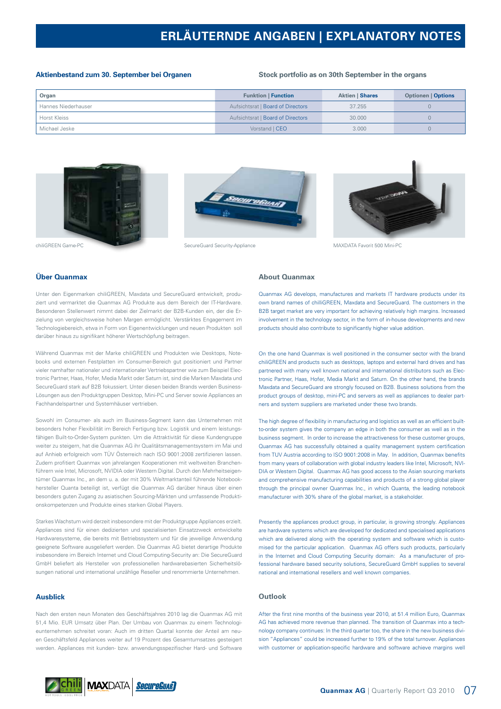# **ERLÄUTERNDE ANGABEN | EXPLANATORY NOTES**

#### **Aktienbestand zum 30. September bei Organen**

#### **Stock portfolio as on 30th September in the organs**

| Organ               | <b>Funktion   Function</b>        | <b>Aktien   Shares</b> | <b>Optionen   Options</b> |
|---------------------|-----------------------------------|------------------------|---------------------------|
| Hannes Niederhauser | Aufsichtsrat   Board of Directors | 37.255                 |                           |
| Horst Kleiss        | Aufsichtsrat   Board of Directors | 30,000                 |                           |
| Michael Jeske       | Vorstand   CEO                    | 3.000                  |                           |







chiliGREEN Game-PC SecureGuard SecureGuard Security-Appliance MAXDATA Favorit 500 Mini-PC

## **Über Quanmax**

Unter den Eigenmarken chiliGREEN, Maxdata und SecureGuard entwickelt, produziert und vermarktet die Quanmax AG Produkte aus dem Bereich der IT-Hardware. Besonderen Stellenwert nimmt dabei der Zielmarkt der B2B-Kunden ein, der die Erzielung von vergleichsweise hohen Margen ermöglicht. Verstärktes Engagement im Technologiebereich, etwa in Form von Eigenentwicklungen und neuen Produkten soll darüber hinaus zu signifikant höherer Wertschöpfung beitragen.

Während Quanmax mit der Marke chiliGREEN und Produkten wie Desktops, Notebooks und externen Festplatten im Consumer-Bereich gut positioniert und Partner vieler namhafter nationaler und internationaler Vertriebspartner wie zum Beispiel Electronic Partner, Haas, Hofer, Media Markt oder Saturn ist, sind die Marken Maxdata und SecureGuard stark auf B2B fokussiert. Unter diesen beiden Brands werden Business-Lösungen aus den Produktgruppen Desktop, Mini-PC und Server sowie Appliances an Fachhandelspartner und Systemhäuser vertrieben.

Sowohl im Consumer- als auch im Business-Segment kann das Unternehmen mit besonders hoher Flexibilität im Bereich Fertigung bzw. Logistik und einem leistungsfähigen Built-to-Order-System punkten. Um die Attraktivität für diese Kundengruppe weiter zu steigern, hat die Quanmax AG ihr Qualitätsmanagementsystem im Mai und auf Anhieb erfolgreich vom TÜV Österreich nach ISO 9001:2008 zertifizieren lassen. Zudem profitiert Quanmax von jahrelangen Kooperationen mit weltweiten Branchenführern wie Intel, Microsoft, NVIDIA oder Western Digital. Durch den Mehrheitseigentümer Quanmax Inc., an dem u. a. der mit 30% Weltmarktanteil führende Notebookhersteller Quanta beteiligt ist, verfügt die Quanmax AG darüber hinaus über einen besonders guten Zugang zu asiatischen Sourcing-Märkten und umfassende Produktionskompetenzen und Produkte eines starken Global Players.

Starkes Wachstum wird derzeit insbesondere mit der Produktgruppe Appliances erzielt. Appliances sind für einen dedizierten und spezialisierten Einsatzzweck entwickelte Hardwaresysteme, die bereits mit Betriebssystem und für die jeweilige Anwendung geeignete Software ausgeliefert werden. Die Quanmax AG bietet derartige Produkte insbesondere im Bereich Internet und Cloud Computing-Security an: Die SecureGuard GmbH beliefert als Hersteller von professionellen hardwarebasierten Sicherheitslösungen national und international unzählige Reseller und renommierte Unternehmen.

### **Ausblick**

Nach den ersten neun Monaten des Geschäftsjahres 2010 lag die Quanmax AG mit 51,4 Mio. EUR Umsatz über Plan. Der Umbau von Quanmax zu einem Technologieunternehmen schreitet voran: Auch im dritten Quartal konnte der Anteil am neuen Geschäftsfeld Appliances weiter auf 19 Prozent des Gesamtumsatzes gesteigert werden. Appliances mit kunden- bzw. anwendungsspezifischer Hard- und Software

# **About Quanmax**

Quanmax AG develops, manufactures and markets IT hardware products under its own brand names of chilliGREEN, Maxdata and SecureGuard. The customers in the B2B target market are very important for achieving relatively high margins. Increased involvement in the technology sector, in the form of in-house developments and new products should also contribute to significantly higher value addition.

On the one hand Quanmax is well positioned in the consumer sector with the brand chiliGREEN and products such as desktops, laptops and external hard drives and has partnered with many well known national and international distributors such as Electronic Partner, Haas, Hofer, Media Markt and Saturn. On the other hand, the brands Maxdata and SecureGuard are strongly focused on B2B. Business solutions from the product groups of desktop, mini-PC and servers as well as appliances to dealer partners and system suppliers are marketed under these two brands.

The high degree of flexibility in manufacturing and logistics as well as an efficient builtto-order system gives the company an edge in both the consumer as well as in the business segment. In order to increase the attractiveness for these customer groups, Quanmax AG has successfully obtained a quality management system certification from TUV Austria according to ISO 9001:2008 in May. In addition, Quanmax benefits from many years of collaboration with global industry leaders like Intel, Microsoft, NVI-DIA or Western Digital. Quanmax AG has good access to the Asian sourcing markets and comprehensive manufacturing capabilities and products of a strong global player through the principal owner Quanmax Inc., in which Quanta, the leading notebook manufacturer with 30% share of the global market, is a stakeholder.

Presently the appliances product group, in particular, is growing strongly. Appliances are hardware systems which are developed for dedicated and specialised applications which are delivered along with the operating system and software which is customised for the particular application. Quanmax AG offers such products, particularly in the Internet and Cloud Computing Security domain: As a manufacturer of professional hardware based security solutions, SecureGuard GmbH supplies to several national and international resellers and well known companies.

## **Outlook**

After the first nine months of the business year 2010, at 51.4 million Euro, Quanmax AG has achieved more revenue than planned. The transition of Quanmax into a technology company continues: In the third quarter too, the share in the new business division "Appliances" could be increased further to 19% of the total turnover. Appliances with customer or application-specific hardware and software achieve margins well